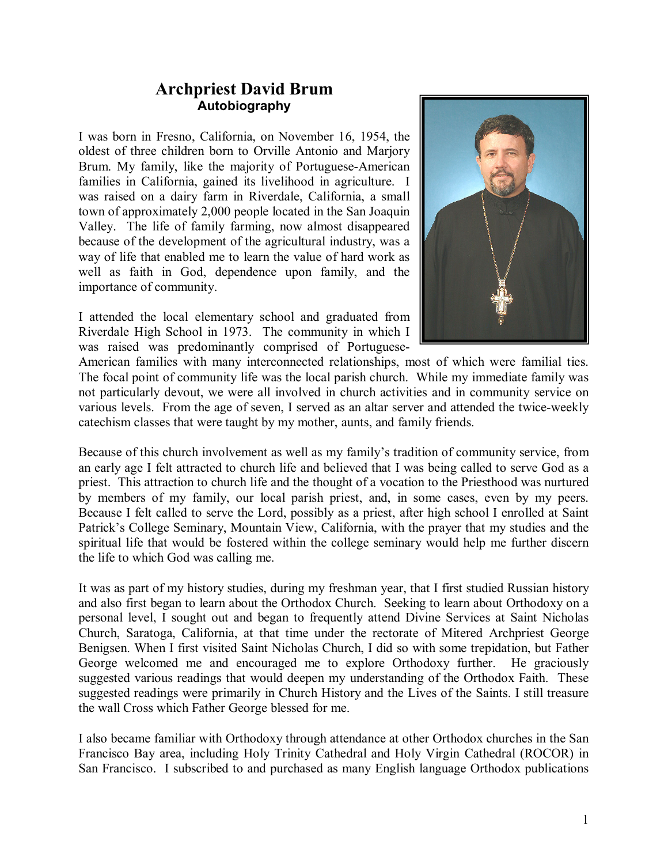## Archpriest David Brum Autobiography

I was born in Fresno, California, on November 16, 1954, the oldest of three children born to Orville Antonio and Marjory Brum. My family, like the majority of Portuguese-American families in California, gained its livelihood in agriculture. I was raised on a dairy farm in Riverdale, California, a small town of approximately 2,000 people located in the San Joaquin Valley. The life of family farming, now almost disappeared because of the development of the agricultural industry, was a way of life that enabled me to learn the value of hard work as well as faith in God, dependence upon family, and the importance of community.

I attended the local elementary school and graduated from Riverdale High School in 1973. The community in which I was raised was predominantly comprised of Portuguese-



American families with many interconnected relationships, most of which were familial ties. The focal point of community life was the local parish church. While my immediate family was not particularly devout, we were all involved in church activities and in community service on various levels. From the age of seven, I served as an altar server and attended the twice-weekly catechism classes that were taught by my mother, aunts, and family friends.

Because of this church involvement as well as my family's tradition of community service, from an early age I felt attracted to church life and believed that I was being called to serve God as a priest. This attraction to church life and the thought of a vocation to the Priesthood was nurtured by members of my family, our local parish priest, and, in some cases, even by my peers. Because I felt called to serve the Lord, possibly as a priest, after high school I enrolled at Saint Patrick's College Seminary, Mountain View, California, with the prayer that my studies and the spiritual life that would be fostered within the college seminary would help me further discern the life to which God was calling me.

It was as part of my history studies, during my freshman year, that I first studied Russian history and also first began to learn about the Orthodox Church. Seeking to learn about Orthodoxy on a personal level, I sought out and began to frequently attend Divine Services at Saint Nicholas Church, Saratoga, California, at that time under the rectorate of Mitered Archpriest George Benigsen. When I first visited Saint Nicholas Church, I did so with some trepidation, but Father George welcomed me and encouraged me to explore Orthodoxy further. He graciously suggested various readings that would deepen my understanding of the Orthodox Faith. These suggested readings were primarily in Church History and the Lives of the Saints. I still treasure the wall Cross which Father George blessed for me.

I also became familiar with Orthodoxy through attendance at other Orthodox churches in the San Francisco Bay area, including Holy Trinity Cathedral and Holy Virgin Cathedral (ROCOR) in San Francisco. I subscribed to and purchased as many English language Orthodox publications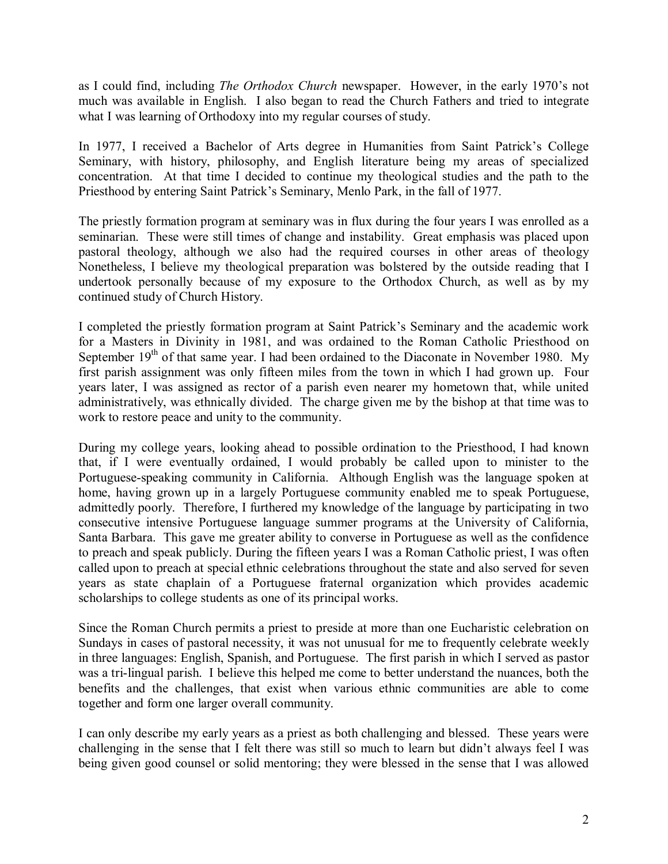as I could find, including The Orthodox Church newspaper. However, in the early 1970's not much was available in English. I also began to read the Church Fathers and tried to integrate what I was learning of Orthodoxy into my regular courses of study.

In 1977, I received a Bachelor of Arts degree in Humanities from Saint Patrick's College Seminary, with history, philosophy, and English literature being my areas of specialized concentration. At that time I decided to continue my theological studies and the path to the Priesthood by entering Saint Patrick's Seminary, Menlo Park, in the fall of 1977.

The priestly formation program at seminary was in flux during the four years I was enrolled as a seminarian. These were still times of change and instability. Great emphasis was placed upon pastoral theology, although we also had the required courses in other areas of theology Nonetheless, I believe my theological preparation was bolstered by the outside reading that I undertook personally because of my exposure to the Orthodox Church, as well as by my continued study of Church History.

I completed the priestly formation program at Saint Patrick's Seminary and the academic work for a Masters in Divinity in 1981, and was ordained to the Roman Catholic Priesthood on September  $19<sup>th</sup>$  of that same year. I had been ordained to the Diaconate in November 1980. My first parish assignment was only fifteen miles from the town in which I had grown up. Four years later, I was assigned as rector of a parish even nearer my hometown that, while united administratively, was ethnically divided. The charge given me by the bishop at that time was to work to restore peace and unity to the community.

During my college years, looking ahead to possible ordination to the Priesthood, I had known that, if I were eventually ordained, I would probably be called upon to minister to the Portuguese-speaking community in California. Although English was the language spoken at home, having grown up in a largely Portuguese community enabled me to speak Portuguese, admittedly poorly. Therefore, I furthered my knowledge of the language by participating in two consecutive intensive Portuguese language summer programs at the University of California, Santa Barbara. This gave me greater ability to converse in Portuguese as well as the confidence to preach and speak publicly. During the fifteen years I was a Roman Catholic priest, I was often called upon to preach at special ethnic celebrations throughout the state and also served for seven years as state chaplain of a Portuguese fraternal organization which provides academic scholarships to college students as one of its principal works.

Since the Roman Church permits a priest to preside at more than one Eucharistic celebration on Sundays in cases of pastoral necessity, it was not unusual for me to frequently celebrate weekly in three languages: English, Spanish, and Portuguese. The first parish in which I served as pastor was a tri-lingual parish. I believe this helped me come to better understand the nuances, both the benefits and the challenges, that exist when various ethnic communities are able to come together and form one larger overall community.

I can only describe my early years as a priest as both challenging and blessed. These years were challenging in the sense that I felt there was still so much to learn but didn't always feel I was being given good counsel or solid mentoring; they were blessed in the sense that I was allowed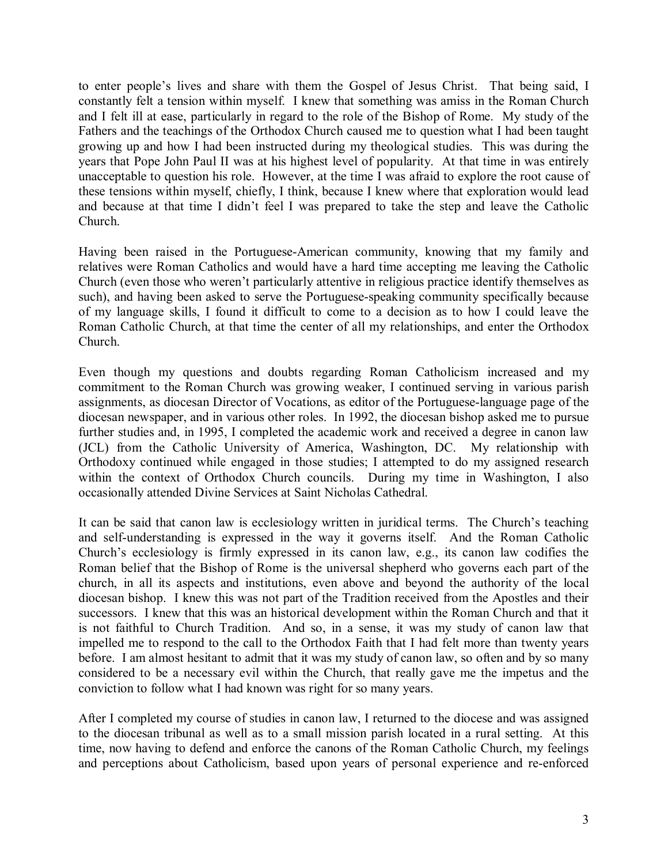to enter people's lives and share with them the Gospel of Jesus Christ. That being said, I constantly felt a tension within myself. I knew that something was amiss in the Roman Church and I felt ill at ease, particularly in regard to the role of the Bishop of Rome. My study of the Fathers and the teachings of the Orthodox Church caused me to question what I had been taught growing up and how I had been instructed during my theological studies. This was during the years that Pope John Paul II was at his highest level of popularity. At that time in was entirely unacceptable to question his role. However, at the time I was afraid to explore the root cause of these tensions within myself, chiefly, I think, because I knew where that exploration would lead and because at that time I didn't feel I was prepared to take the step and leave the Catholic Church.

Having been raised in the Portuguese-American community, knowing that my family and relatives were Roman Catholics and would have a hard time accepting me leaving the Catholic Church (even those who weren't particularly attentive in religious practice identify themselves as such), and having been asked to serve the Portuguese-speaking community specifically because of my language skills, I found it difficult to come to a decision as to how I could leave the Roman Catholic Church, at that time the center of all my relationships, and enter the Orthodox Church.

Even though my questions and doubts regarding Roman Catholicism increased and my commitment to the Roman Church was growing weaker, I continued serving in various parish assignments, as diocesan Director of Vocations, as editor of the Portuguese-language page of the diocesan newspaper, and in various other roles. In 1992, the diocesan bishop asked me to pursue further studies and, in 1995, I completed the academic work and received a degree in canon law (JCL) from the Catholic University of America, Washington, DC. My relationship with Orthodoxy continued while engaged in those studies; I attempted to do my assigned research within the context of Orthodox Church councils. During my time in Washington, I also occasionally attended Divine Services at Saint Nicholas Cathedral.

It can be said that canon law is ecclesiology written in juridical terms. The Church's teaching and self-understanding is expressed in the way it governs itself. And the Roman Catholic Church's ecclesiology is firmly expressed in its canon law, e.g., its canon law codifies the Roman belief that the Bishop of Rome is the universal shepherd who governs each part of the church, in all its aspects and institutions, even above and beyond the authority of the local diocesan bishop. I knew this was not part of the Tradition received from the Apostles and their successors. I knew that this was an historical development within the Roman Church and that it is not faithful to Church Tradition. And so, in a sense, it was my study of canon law that impelled me to respond to the call to the Orthodox Faith that I had felt more than twenty years before. I am almost hesitant to admit that it was my study of canon law, so often and by so many considered to be a necessary evil within the Church, that really gave me the impetus and the conviction to follow what I had known was right for so many years.

After I completed my course of studies in canon law, I returned to the diocese and was assigned to the diocesan tribunal as well as to a small mission parish located in a rural setting. At this time, now having to defend and enforce the canons of the Roman Catholic Church, my feelings and perceptions about Catholicism, based upon years of personal experience and re-enforced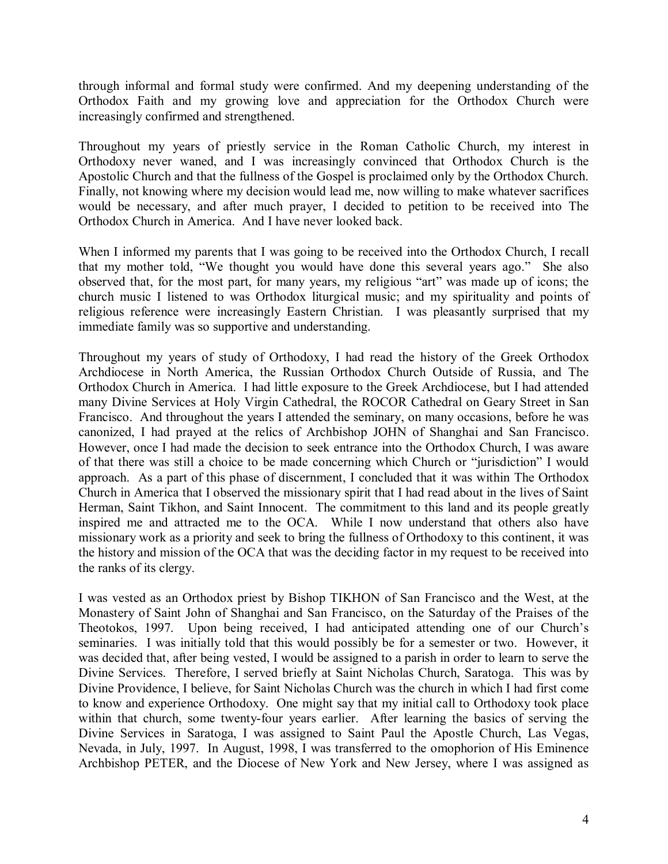through informal and formal study were confirmed. And my deepening understanding of the Orthodox Faith and my growing love and appreciation for the Orthodox Church were increasingly confirmed and strengthened.

Throughout my years of priestly service in the Roman Catholic Church, my interest in Orthodoxy never waned, and I was increasingly convinced that Orthodox Church is the Apostolic Church and that the fullness of the Gospel is proclaimed only by the Orthodox Church. Finally, not knowing where my decision would lead me, now willing to make whatever sacrifices would be necessary, and after much prayer, I decided to petition to be received into The Orthodox Church in America. And I have never looked back.

When I informed my parents that I was going to be received into the Orthodox Church, I recall that my mother told, "We thought you would have done this several years ago." She also observed that, for the most part, for many years, my religious "art" was made up of icons; the church music I listened to was Orthodox liturgical music; and my spirituality and points of religious reference were increasingly Eastern Christian. I was pleasantly surprised that my immediate family was so supportive and understanding.

Throughout my years of study of Orthodoxy, I had read the history of the Greek Orthodox Archdiocese in North America, the Russian Orthodox Church Outside of Russia, and The Orthodox Church in America. I had little exposure to the Greek Archdiocese, but I had attended many Divine Services at Holy Virgin Cathedral, the ROCOR Cathedral on Geary Street in San Francisco. And throughout the years I attended the seminary, on many occasions, before he was canonized, I had prayed at the relics of Archbishop JOHN of Shanghai and San Francisco. However, once I had made the decision to seek entrance into the Orthodox Church, I was aware of that there was still a choice to be made concerning which Church or "jurisdiction" I would approach. As a part of this phase of discernment, I concluded that it was within The Orthodox Church in America that I observed the missionary spirit that I had read about in the lives of Saint Herman, Saint Tikhon, and Saint Innocent. The commitment to this land and its people greatly inspired me and attracted me to the OCA. While I now understand that others also have missionary work as a priority and seek to bring the fullness of Orthodoxy to this continent, it was the history and mission of the OCA that was the deciding factor in my request to be received into the ranks of its clergy.

I was vested as an Orthodox priest by Bishop TIKHON of San Francisco and the West, at the Monastery of Saint John of Shanghai and San Francisco, on the Saturday of the Praises of the Theotokos, 1997. Upon being received, I had anticipated attending one of our Church's seminaries. I was initially told that this would possibly be for a semester or two. However, it was decided that, after being vested, I would be assigned to a parish in order to learn to serve the Divine Services. Therefore, I served briefly at Saint Nicholas Church, Saratoga. This was by Divine Providence, I believe, for Saint Nicholas Church was the church in which I had first come to know and experience Orthodoxy. One might say that my initial call to Orthodoxy took place within that church, some twenty-four years earlier. After learning the basics of serving the Divine Services in Saratoga, I was assigned to Saint Paul the Apostle Church, Las Vegas, Nevada, in July, 1997. In August, 1998, I was transferred to the omophorion of His Eminence Archbishop PETER, and the Diocese of New York and New Jersey, where I was assigned as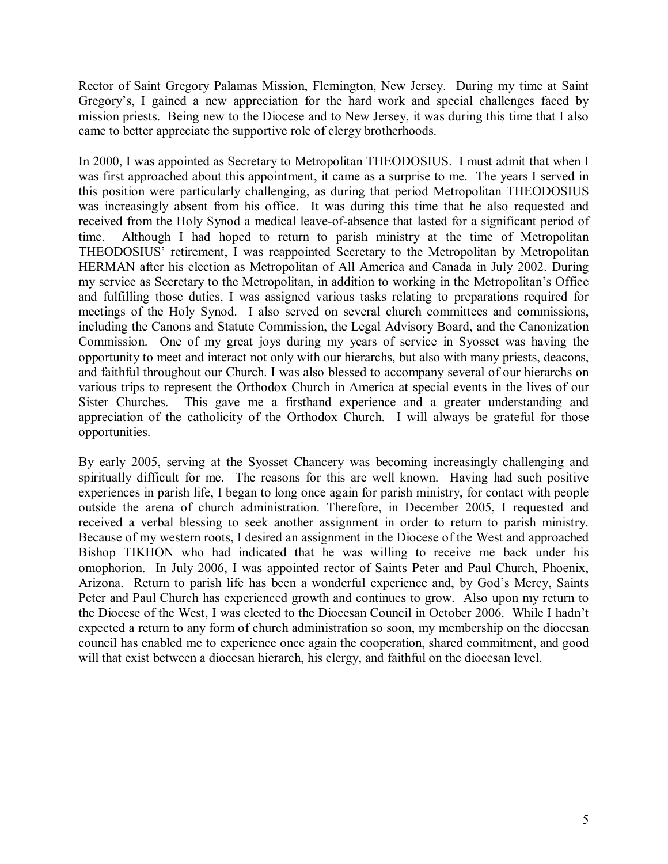Rector of Saint Gregory Palamas Mission, Flemington, New Jersey. During my time at Saint Gregory's, I gained a new appreciation for the hard work and special challenges faced by mission priests. Being new to the Diocese and to New Jersey, it was during this time that I also came to better appreciate the supportive role of clergy brotherhoods.

In 2000, I was appointed as Secretary to Metropolitan THEODOSIUS. I must admit that when I was first approached about this appointment, it came as a surprise to me. The years I served in this position were particularly challenging, as during that period Metropolitan THEODOSIUS was increasingly absent from his office. It was during this time that he also requested and received from the Holy Synod a medical leave-of-absence that lasted for a significant period of time. Although I had hoped to return to parish ministry at the time of Metropolitan THEODOSIUS' retirement, I was reappointed Secretary to the Metropolitan by Metropolitan HERMAN after his election as Metropolitan of All America and Canada in July 2002. During my service as Secretary to the Metropolitan, in addition to working in the Metropolitan's Office and fulfilling those duties, I was assigned various tasks relating to preparations required for meetings of the Holy Synod. I also served on several church committees and commissions, including the Canons and Statute Commission, the Legal Advisory Board, and the Canonization Commission. One of my great joys during my years of service in Syosset was having the opportunity to meet and interact not only with our hierarchs, but also with many priests, deacons, and faithful throughout our Church. I was also blessed to accompany several of our hierarchs on various trips to represent the Orthodox Church in America at special events in the lives of our Sister Churches. This gave me a firsthand experience and a greater understanding and appreciation of the catholicity of the Orthodox Church. I will always be grateful for those opportunities.

By early 2005, serving at the Syosset Chancery was becoming increasingly challenging and spiritually difficult for me. The reasons for this are well known. Having had such positive experiences in parish life, I began to long once again for parish ministry, for contact with people outside the arena of church administration. Therefore, in December 2005, I requested and received a verbal blessing to seek another assignment in order to return to parish ministry. Because of my western roots, I desired an assignment in the Diocese of the West and approached Bishop TIKHON who had indicated that he was willing to receive me back under his omophorion. In July 2006, I was appointed rector of Saints Peter and Paul Church, Phoenix, Arizona. Return to parish life has been a wonderful experience and, by God's Mercy, Saints Peter and Paul Church has experienced growth and continues to grow. Also upon my return to the Diocese of the West, I was elected to the Diocesan Council in October 2006. While I hadn't expected a return to any form of church administration so soon, my membership on the diocesan council has enabled me to experience once again the cooperation, shared commitment, and good will that exist between a diocesan hierarch, his clergy, and faithful on the diocesan level.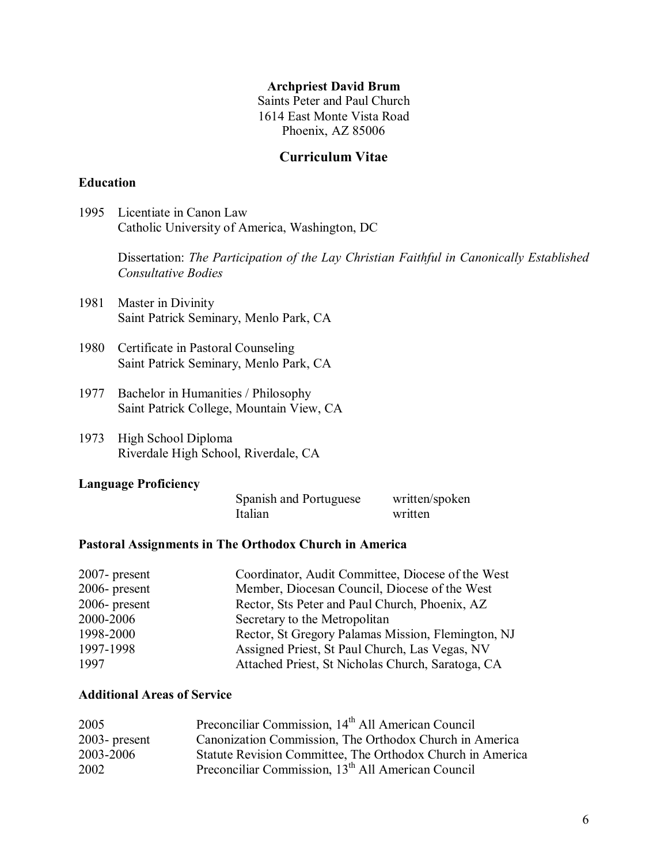#### Archpriest David Brum

Saints Peter and Paul Church 1614 East Monte Vista Road Phoenix, AZ 85006

#### Curriculum Vitae

#### Education

1995 Licentiate in Canon Law Catholic University of America, Washington, DC

> Dissertation: The Participation of the Lay Christian Faithful in Canonically Established Consultative Bodies

- 1981 Master in Divinity Saint Patrick Seminary, Menlo Park, CA
- 1980 Certificate in Pastoral Counseling Saint Patrick Seminary, Menlo Park, CA
- 1977 Bachelor in Humanities / Philosophy Saint Patrick College, Mountain View, CA
- 1973 High School Diploma Riverdale High School, Riverdale, CA

#### Language Proficiency

| Spanish and Portuguese | written/spoken |
|------------------------|----------------|
| Italian                | written        |

#### Pastoral Assignments in The Orthodox Church in America

| $2007$ - present | Coordinator, Audit Committee, Diocese of the West  |
|------------------|----------------------------------------------------|
| $2006$ - present | Member, Diocesan Council, Diocese of the West      |
| $2006$ - present | Rector, Sts Peter and Paul Church, Phoenix, AZ     |
| 2000-2006        | Secretary to the Metropolitan                      |
| 1998-2000        | Rector, St Gregory Palamas Mission, Flemington, NJ |
| 1997-1998        | Assigned Priest, St Paul Church, Las Vegas, NV     |
| 1997             | Attached Priest, St Nicholas Church, Saratoga, CA  |

#### Additional Areas of Service

| 2005             | Preconciliar Commission, 14 <sup>th</sup> All American Council |
|------------------|----------------------------------------------------------------|
| $2003$ - present | Canonization Commission, The Orthodox Church in America        |
| 2003-2006        | Statute Revision Committee, The Orthodox Church in America     |
| 2002             | Preconciliar Commission, 13 <sup>th</sup> All American Council |